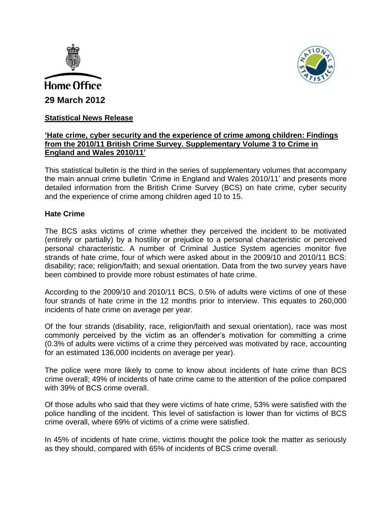



# **Statistical News Release**

## **'Hate crime, cyber security and the experience of crime among children: Findings from the 2010/11 British Crime Survey. Supplementary Volume 3 to Crime in England and Wales 2010/11'**

This statistical bulletin is the third in the series of supplementary volumes that accompany the main annual crime bulletin 'Crime in England and Wales 2010/11' and presents more detailed information from the British Crime Survey (BCS) on hate crime, cyber security and the experience of crime among children aged 10 to 15.

### **Hate Crime**

The BCS asks victims of crime whether they perceived the incident to be motivated (entirely or partially) by a hostility or prejudice to a personal characteristic or perceived personal characteristic. A number of Criminal Justice System agencies monitor five strands of hate crime, four of which were asked about in the 2009/10 and 2010/11 BCS: disability; race; religion/faith; and sexual orientation. Data from the two survey years have been combined to provide more robust estimates of hate crime.

According to the 2009/10 and 2010/11 BCS, 0.5% of adults were victims of one of these four strands of hate crime in the 12 months prior to interview. This equates to 260,000 incidents of hate crime on average per year.

Of the four strands (disability, race, religion/faith and sexual orientation), race was most commonly perceived by the victim as an offender's motivation for committing a crime (0.3% of adults were victims of a crime they perceived was motivated by race, accounting for an estimated 136,000 incidents on average per year).

The police were more likely to come to know about incidents of hate crime than BCS crime overall; 49% of incidents of hate crime came to the attention of the police compared with 39% of BCS crime overall.

Of those adults who said that they were victims of hate crime, 53% were satisfied with the police handling of the incident. This level of satisfaction is lower than for victims of BCS crime overall, where 69% of victims of a crime were satisfied.

In 45% of incidents of hate crime, victims thought the police took the matter as seriously as they should, compared with 65% of incidents of BCS crime overall.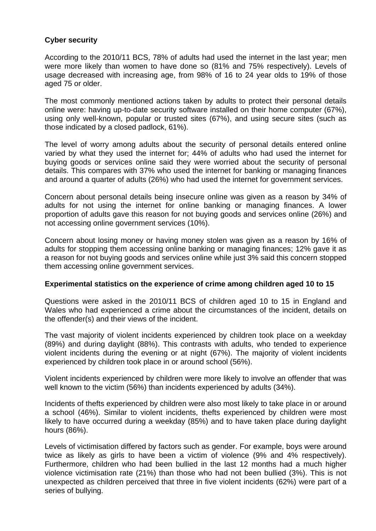# **Cyber security**

According to the 2010/11 BCS, 78% of adults had used the internet in the last year; men were more likely than women to have done so (81% and 75% respectively). Levels of usage decreased with increasing age, from 98% of 16 to 24 year olds to 19% of those aged 75 or older.

The most commonly mentioned actions taken by adults to protect their personal details online were: having up-to-date security software installed on their home computer (67%), using only well-known, popular or trusted sites (67%), and using secure sites (such as those indicated by a closed padlock, 61%).

The level of worry among adults about the security of personal details entered online varied by what they used the internet for; 44% of adults who had used the internet for buying goods or services online said they were worried about the security of personal details. This compares with 37% who used the internet for banking or managing finances and around a quarter of adults (26%) who had used the internet for government services.

Concern about personal details being insecure online was given as a reason by 34% of adults for not using the internet for online banking or managing finances. A lower proportion of adults gave this reason for not buying goods and services online (26%) and not accessing online government services (10%).

Concern about losing money or having money stolen was given as a reason by 16% of adults for stopping them accessing online banking or managing finances; 12% gave it as a reason for not buying goods and services online while just 3% said this concern stopped them accessing online government services.

## **Experimental statistics on the experience of crime among children aged 10 to 15**

Questions were asked in the 2010/11 BCS of children aged 10 to 15 in England and Wales who had experienced a crime about the circumstances of the incident, details on the offender(s) and their views of the incident.

The vast majority of violent incidents experienced by children took place on a weekday (89%) and during daylight (88%). This contrasts with adults, who tended to experience violent incidents during the evening or at night (67%). The majority of violent incidents experienced by children took place in or around school (56%).

Violent incidents experienced by children were more likely to involve an offender that was well known to the victim (56%) than incidents experienced by adults (34%).

Incidents of thefts experienced by children were also most likely to take place in or around a school (46%). Similar to violent incidents, thefts experienced by children were most likely to have occurred during a weekday (85%) and to have taken place during daylight hours (86%).

Levels of victimisation differed by factors such as gender. For example, boys were around twice as likely as girls to have been a victim of violence (9% and 4% respectively). Furthermore, children who had been bullied in the last 12 months had a much higher violence victimisation rate (21%) than those who had not been bullied (3%). This is not unexpected as children perceived that three in five violent incidents (62%) were part of a series of bullying.